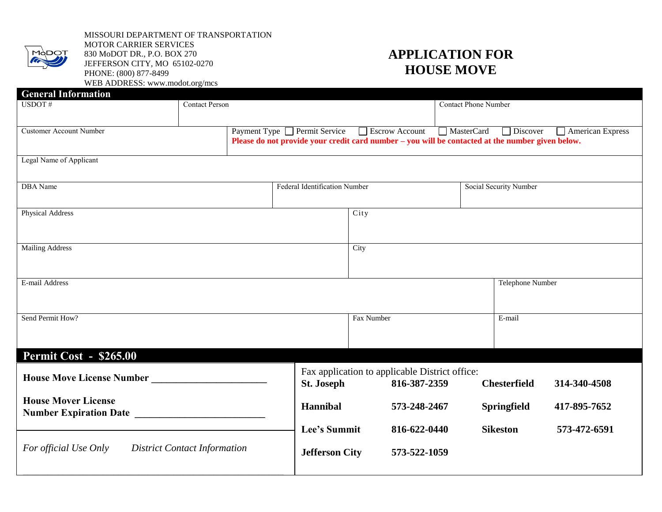

MISSOURI DEPARTMENT OF TRANSPORTATION MOTOR CARRIER SERVICES 830 MoDOT DR., P.O. BOX 270 JEFFERSON CITY, MO 65102-0270 PHONE: (800) 877-8499 WEB ADDRESS: www.modot.org/mcs

## **APPLICATION FOR HOUSE MOVE**

| <b>General Information</b>     |                                     |                                                                                                                    |                                                |                                     |                         |              |  |
|--------------------------------|-------------------------------------|--------------------------------------------------------------------------------------------------------------------|------------------------------------------------|-------------------------------------|-------------------------|--------------|--|
| USDOT#                         | <b>Contact Person</b>               |                                                                                                                    | <b>Contact Phone Number</b>                    |                                     |                         |              |  |
|                                |                                     |                                                                                                                    |                                                |                                     |                         |              |  |
| <b>Customer Account Number</b> | Payment Type □ Permit Service       | Escrow Account<br>Please do not provide your credit card number – you will be contacted at the number given below. | MasterCard                                     | <b>Discover</b>                     | $\Box$ American Express |              |  |
|                                |                                     |                                                                                                                    |                                                |                                     |                         |              |  |
| Legal Name of Applicant        |                                     |                                                                                                                    |                                                |                                     |                         |              |  |
|                                |                                     |                                                                                                                    |                                                |                                     |                         |              |  |
| <b>DBA</b> Name                | Federal Identification Number       |                                                                                                                    |                                                | Social Security Number              |                         |              |  |
|                                |                                     |                                                                                                                    |                                                |                                     |                         |              |  |
| Physical Address               |                                     |                                                                                                                    | City                                           |                                     |                         |              |  |
|                                |                                     |                                                                                                                    |                                                |                                     |                         |              |  |
| <b>Mailing Address</b>         |                                     |                                                                                                                    | City                                           |                                     |                         |              |  |
|                                |                                     |                                                                                                                    |                                                |                                     |                         |              |  |
| E-mail Address                 |                                     |                                                                                                                    |                                                |                                     | Telephone Number        |              |  |
|                                |                                     |                                                                                                                    |                                                |                                     |                         |              |  |
|                                |                                     |                                                                                                                    |                                                |                                     |                         |              |  |
| Send Permit How?               |                                     | Fax Number                                                                                                         |                                                | E-mail                              |                         |              |  |
|                                |                                     |                                                                                                                    |                                                |                                     |                         |              |  |
| Permit Cost - \$265.00         |                                     |                                                                                                                    |                                                |                                     |                         |              |  |
|                                |                                     |                                                                                                                    | Fax application to applicable District office: |                                     |                         |              |  |
|                                | St. Joseph                          | 816-387-2359                                                                                                       |                                                | <b>Chesterfield</b><br>314-340-4508 |                         |              |  |
| <b>House Mover License</b>     |                                     |                                                                                                                    |                                                |                                     |                         |              |  |
| <b>Number Expiration Date</b>  | Hannibal                            |                                                                                                                    | 573-248-2467<br><b>Springfield</b>             |                                     | 417-895-7652            |              |  |
|                                |                                     | Lee's Summit                                                                                                       | 816-622-0440                                   |                                     | <b>Sikeston</b>         | 573-472-6591 |  |
|                                |                                     |                                                                                                                    |                                                |                                     |                         |              |  |
| For official Use Only          | <b>District Contact Information</b> | <b>Jefferson City</b>                                                                                              | 573-522-1059                                   |                                     |                         |              |  |
|                                |                                     |                                                                                                                    |                                                |                                     |                         |              |  |